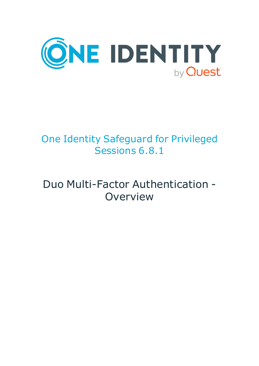

# One Identity Safeguard for Privileged Sessions 6.8.1

## Duo Multi-Factor Authentication - **Overview**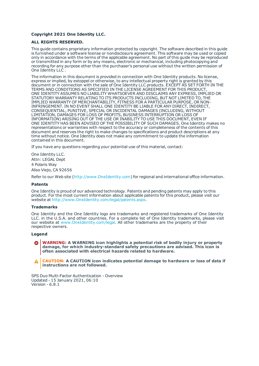#### **Copyright 2021 One Identity LLC.**

#### **ALL RIGHTS RESERVED.**

This guide contains proprietary information protected by copyright. The software described in this guide is furnished under a software license or nondisclosure agreement. This software may be used or copied only in accordance with the terms of the applicable agreement. No part of this guide may be reproduced or transmitted in any form or by any means, electronic or mechanical, including photocopying and recording for any purpose other than the purchaser's personal use without the written permission of One Identity LLC .

The information in this document is provided in connection with One Identity products. No license, express or implied, by estoppel or otherwise, to any intellectual property right is granted by this document or in connection with the sale of One Identity LLC products. EXCEPT AS SET FORTH IN THE TERMS AND CONDITIONS AS SPECIFIED IN THE LICENSE AGREEMENT FOR THIS PRODUCT, ONE IDENTITY ASSUMES NO LIABILITY WHATSOEVER AND DISCLAIMS ANY EXPRESS, IMPLIED OR STATUTORY WARRANTY RELATING TO ITS PRODUCTS INCLUDING, BUT NOT LIMITED TO, THE IMPLIED WARRANTY OF MERCHANTABILITY, FITNESS FOR A PARTICULAR PURPOSE, OR NON-INFRINGEMENT. IN NO EVENT SHALL ONE IDENTITY BE LIABLE FOR ANY DIRECT, INDIRECT, CONSEQUENTIAL, PUNITIVE, SPECIAL OR INCIDENTAL DAMAGES (INCLUDING, WITHOUT LIMITATION, DAMAGES FOR LOSS OF PROFITS, BUSINESS INTERRUPTION OR LOSS OF INFORMATION) ARISING OUT OF THE USE OR INABILITY TO USE THIS DOCUMENT, EVEN IF ONE IDENTITY HAS BEEN ADVISED OF THE POSSIBILITY OF SUCH DAMAGES. One Identity makes no representations or warranties with respect to the accuracy or completeness of the contents of this document and reserves the right to make changes to specifications and product descriptions at any time without notice. One Identity does not make any commitment to update the information contained in this document.

If you have any questions regarding your potential use of this material, contact:

One Identity LLC. Attn: LEGAL Dept 4 Polaris Way Aliso Viejo, CA 92656

Refer to our Web site ([http://www.OneIdentity.com](http://www.oneidentity.com/)) for regional and international office information.

#### **Patents**

One Identity is proud of our advanced technology. Patents and pending patents may apply to this product. For the most current information about applicable patents for this product, please visit our website at [http://www.OneIdentity.com/legal/patents.aspx](http://www.oneidentity.com/legal/patents.aspx).

#### **Trademarks**

One Identity and the One Identity logo are trademarks and registered trademarks of One Identity LLC. in the U.S.A. and other countries. For a complete list of One Identity trademarks, please visit our website at [www.OneIdentity.com/legal](http://www.oneidentity.com/legal). All other trademarks are the property of their respective owners.

#### **Legend**

**WARNING: A WARNING icon highlights a potential risk of bodily injury or property damage, for which industry-standard safety precautions are advised. This icon is often associated with electrical hazards related to hardware.**

**CAUTION: A CAUTION icon indicates potential damage to hardware or loss of data if** A **instructions are not followed.**

SPS Duo Multi-Factor Authentication - Overview Updated - 15 January 2021, 06:10 Version - 6.8.1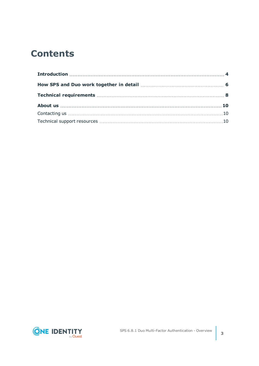## **Contents**

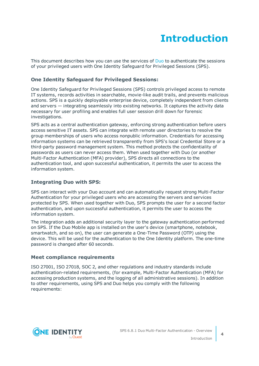## **Introduction**

<span id="page-3-0"></span>This document describes how you can use the services of [Duo](https://duo.com/) to authenticate the sessions of your privileged users with One Identity Safeguard for Privileged Sessions (SPS).

### **One Identity Safeguard for Privileged Sessions:**

One Identity Safeguard for Privileged Sessions (SPS) controls privileged access to remote IT systems, records activities in searchable, movie-like audit trails, and prevents malicious actions. SPS is a quickly deployable enterprise device, completely independent from clients and servers — integrating seamlessly into existing networks. It captures the activity data necessary for user profiling and enables full user session drill down for forensic investigations.

SPS acts as a central authentication gateway, enforcing strong authentication before users access sensitive IT assets. SPS can integrate with remote user directories to resolve the group memberships of users who access nonpublic information. Credentials for accessing information systems can be retrieved transparently from SPS's local Credential Store or a third-party password management system. This method protects the confidentiality of passwords as users can never access them. When used together with Duo (or another Multi-Factor Authentication (MFA) provider), SPS directs all connections to the authentication tool, and upon successful authentication, it permits the user to access the information system.

### **Integrating Duo with SPS:**

SPS can interact with your Duo account and can automatically request strong Multi-Factor Authentication for your privileged users who are accessing the servers and services protected by SPS. When used together with Duo, SPS prompts the user for a second factor authentication, and upon successful authentication, it permits the user to access the information system.

The integration adds an additional security layer to the gateway authentication performed on SPS. If the Duo Mobile app is installed on the user's device (smartphone, notebook, smartwatch, and so on), the user can generate a One-Time Password (OTP) using the device. This will be used for the authentication to the One Identity platform. The one-time password is changed after 60 seconds.

#### **Meet compliance requirements**

ISO 27001, ISO 27018, SOC 2, and other regulations and industry standards include authentication-related requirements, (for example, Multi-Factor Authentication (MFA) for accessing production systems, and the logging of all administrative sessions). In addition to other requirements, using SPS and Duo helps you comply with the following requirements:

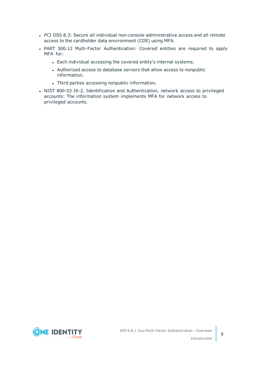- PCI DSS 8.3: Secure all individual non-console administrative access and all remote access to the cardholder data environment (CDE) using MFA.
- PART 500.12 Multi-Factor Authentication: Covered entities are required to apply MFA for:
	- Each individual accessing the covered entity's internal systems.
	- Authorized access to database servers that allow access to nonpublic information.
	- Third parties accessing nonpublic information.
- NIST 800-53 IA-2, Identification and Authentication, network access to privileged accounts: The information system implements MFA for network access to privileged accounts.

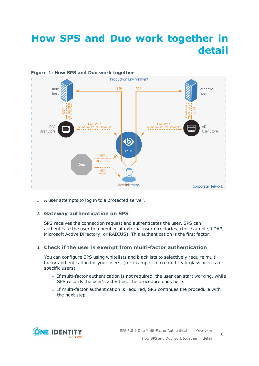# <span id="page-5-0"></span>**How SPS and Duo work together in detail**



1. A user attempts to log in to a protected server.

### 2. **Gateway authentication on SPS**

SPS receives the connection request and authenticates the user. SPS can authenticate the user to a number of external user directories, (for example, LDAP, Microsoft Active Directory, or RADIUS). This authentication is the first factor.

#### 3. **Check if the user is exempt from multi-factor authentication**

You can configure SPS using whitelists and blacklists to selectively require multifactor authentication for your users, (for example, to create break-glass access for specific users).

- If multi-factor authentication is not required, the user can start working, while SPS records the user's activities. The procedure ends here.
- If multi-factor authentication is required, SPS continues the procedure with the next step.

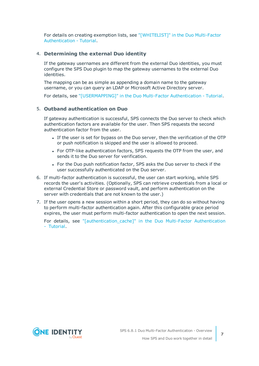For details on creating exemption lists, see ["\[WHITELIST\]"](https://support.oneidentity.com/technical-documents/safeguard-for-privileged-sessions/6.8.1/duo-multi-factor-authentication---tutorial/[whitelist]/) in the Duo Multi-Factor [Authentication](https://support.oneidentity.com/technical-documents/safeguard-for-privileged-sessions/6.8.1/duo-multi-factor-authentication---tutorial/[whitelist]/) - Tutorial.

#### 4. **Determining the external Duo identity**

If the gateway usernames are different from the external Duo identities, you must configure the SPS Duo plugin to map the gateway usernames to the external Duo identities.

The mapping can be as simple as appending a domain name to the gateway username, or you can query an LDAP or Microsoft Active Directory server.

For details, see ["\[USERMAPPING\]"](https://support.oneidentity.com/technical-documents/safeguard-for-privileged-sessions/6.8.1/duo-multi-factor-authentication---tutorial/[usermapping]/) in the Duo Multi-Factor Authentication - Tutorial.

### 5. **Outband authentication on Duo**

If gateway authentication is successful, SPS connects the Duo server to check which authentication factors are available for the user. Then SPS requests the second authentication factor from the user.

- If the user is set for bypass on the Duo server, then the verification of the OTP or push notification is skipped and the user is allowed to proceed.
- For OTP-like authentication factors, SPS requests the OTP from the user, and sends it to the Duo server for verification.
- For the Duo push notification factor, SPS asks the Duo server to check if the user successfully authenticated on the Duo server.
- 6. If multi-factor authentication is successful, the user can start working, while SPS records the user's activities. (Optionally, SPS can retrieve credentials from a local or external Credential Store or password vault, and perform authentication on the server with credentials that are not known to the user.)
- 7. If the user opens a new session within a short period, they can do so without having to perform multi-factor authentication again. After this configurable grace period expires, the user must perform multi-factor authentication to open the next session.

For details, see ["\[authentication\\_cache\]"](https://support.oneidentity.com/technical-documents/safeguard-for-privileged-sessions/6.8.1/duo-multi-factor-authentication---tutorial/[authentication_cache]/) in the Duo Multi-Factor Authentication - [Tutorial](https://support.oneidentity.com/technical-documents/safeguard-for-privileged-sessions/6.8.1/duo-multi-factor-authentication---tutorial/[authentication_cache]/).

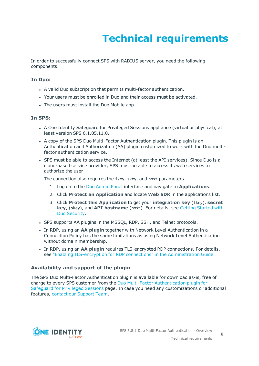# **Technical requirements**

<span id="page-7-0"></span>In order to successfully connect SPS with RADIUS server, you need the following components.

#### **In Duo:**

- A valid Duo subscription that permits multi-factor authentication.
- Your users must be enrolled in Duo and their access must be activated.
- The users must install the Duo Mobile app.

#### **In SPS:**

- A One Identity Safeguard for Privileged Sessions appliance (virtual or physical), at least version SPS 6.1.05.11.0.
- A copy of the SPS Duo Multi-Factor Authentication plugin. This plugin is an Authentication and Authorization (AA) plugin customized to work with the Duo multifactor authentication service.
- SPS must be able to access the Internet (at least the API services). Since Duo is a cloud-based service provider, SPS must be able to access its web services to authorize the user.

The connection also requires the ikey, skey, and host parameters.

- 1. Log on to the Duo [Admin](https://admin.duosecurity.com/) Panel interface and navigate to **Applications**.
- 2. Click **Protect an Application** and locate **Web SDK** in the applications list.
- 3. Click **Protect this Application** to get your **integration key** (ikey), **secret key**, (skey), and **API hostname** (host). For details, see Getting [Started](https://duo.com/docs/getting_started) with Duo [Security](https://duo.com/docs/getting_started).
- SPS supports AA plugins in the MSSQL, RDP, SSH, and Telnet protocols.
- **.** In RDP, using an AA plugin together with Network Level Authentication in a Connection Policy has the same limitations as using Network Level Authentication without domain membership.
- **In RDP, using an AA plugin requires TLS-encrypted RDP connections. For details,** see "Enabling [TLS-encryption](https://support.oneidentity.com/technical-documents/safeguard-for-privileged-sessions/6.8.1/administration-guide/rdp-specific-settings/enabling-tls-encryption-for-rdp-connections/) for RDP connections" in the Administration Guide.

#### **Availability and support of the plugin**

The SPS Duo Multi-Factor Authentication plugin is available for download as-is, free of charge to every SPS customer from the Duo Multi-Factor [Authentication](https://github.com/OneIdentity/safeguard-sessions-plugin-duo-mfa/releases) plugin for [Safeguard](https://github.com/OneIdentity/safeguard-sessions-plugin-duo-mfa/releases) for Privileged Sessions page. In case you need any customizations or additional features, contact our [Support](https://support.oneidentity.com/one-identity-safeguard-for-privileged-sessions) Team.

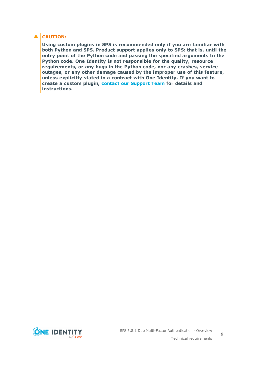### **A** CAUTION:

**Using custom plugins in SPS is recommended only if you are familiar with both Python and SPS. Product support applies only to SPS: that is, until the entry point of the Python code and passing the specified arguments to the Python code. One Identity is not responsible for the quality, resource requirements, or any bugs in the Python code, nor any crashes, service outages, or any other damage caused by the improper use of this feature, unless explicitly stated in a contract with One Identity. If you want to create a custom plugin, contact our [Support](https://support.oneidentity.com/one-identity-safeguard-for-privileged-sessions) Team for details and instructions.**